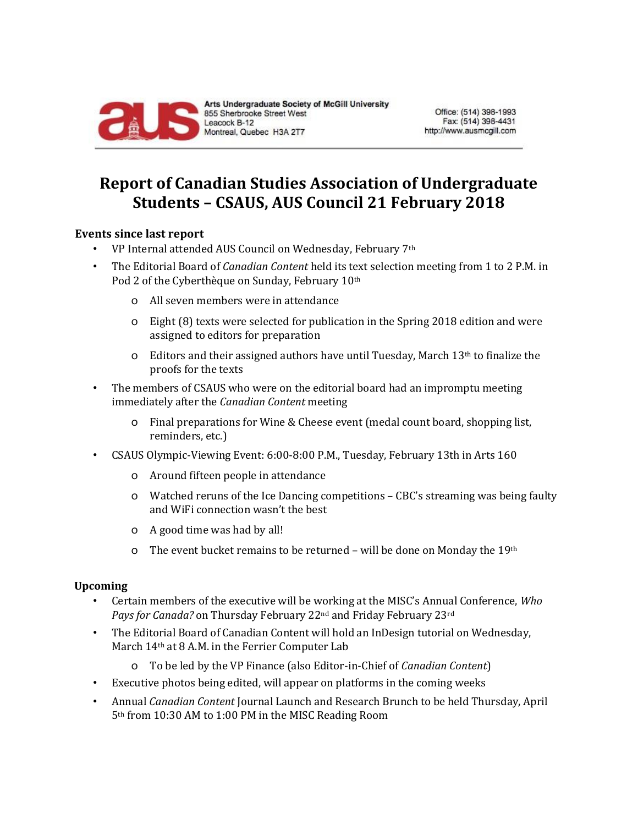

## **Report of Canadian Studies Association of Undergraduate Students – CSAUS, AUS Council 21 February 2018**

## **Events since last report**

- VP Internal attended AUS Council on Wednesday, February 7<sup>th</sup>
- The Editorial Board of *Canadian Content* held its text selection meeting from 1 to 2 P.M. in Pod 2 of the Cyberthèque on Sunday, February 10th
	- o All seven members were in attendance
	- o Eight (8) texts were selected for publication in the Spring 2018 edition and were assigned to editors for preparation
	- o Editors and their assigned authors have until Tuesday, March 13<sup>th</sup> to finalize the proofs for the texts
- The members of CSAUS who were on the editorial board had an impromptu meeting immediately after the *Canadian Content* meeting
	- o Final preparations for Wine & Cheese event (medal count board, shopping list, reminders, etc.)
- CSAUS Olympic-Viewing Event: 6:00-8:00 P.M., Tuesday, February 13th in Arts 160
	- o Around fifteen people in attendance
	- o Watched reruns of the Ice Dancing competitions CBC's streaming was being faulty and WiFi connection wasn't the best
	- o A good time was had by all!
	- o The event bucket remains to be returned will be done on Monday the 19th

## **Upcoming**

- Certain members of the executive will be working at the MISC's Annual Conference, *Who Pays for Canada?* on Thursday February 22nd and Friday February 23rd
- The Editorial Board of Canadian Content will hold an InDesign tutorial on Wednesday, March 14th at 8 A.M. in the Ferrier Computer Lab
	- o To be led by the VP Finance (also Editor-in-Chief of *Canadian Content*)
- Executive photos being edited, will appear on platforms in the coming weeks
- Annual *Canadian Content* Journal Launch and Research Brunch to be held Thursday, April 5th from 10:30 AM to 1:00 PM in the MISC Reading Room